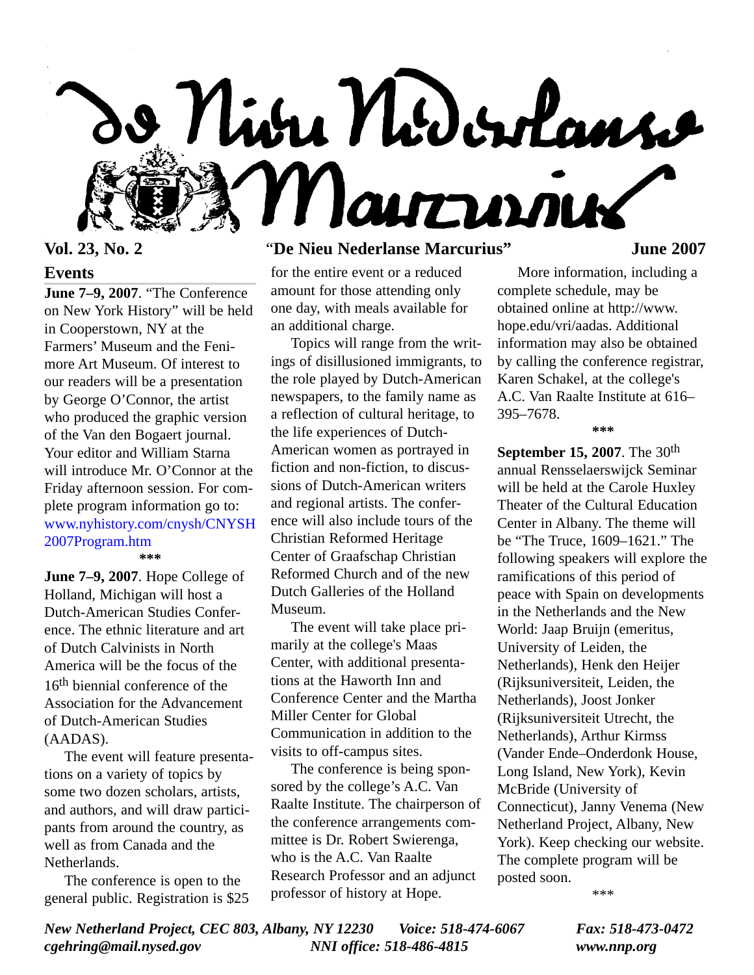

# **Events**

**June 7–9, 2007**. "The Conference on New York History" will be held in Cooperstown, NY at the Farmers' Museum and the Fenimore Art Museum. Of interest to our readers will be a presentation by George O'Connor, the artist who produced the graphic version of the Van den Bogaert journal. Your editor and William Starna will introduce Mr. O'Connor at the Friday afternoon session. For complete program information go to: [www.nyhistory.com/cnysh/CNYSH](http://www.nyhistory.com/cnysh/CNYSH2007program.htm) 2007Program.htm **\*\*\***

**June 7–9, 2007**. Hope College of Holland, Michigan will host a Dutch-American Studies Conference. The ethnic literature and art of Dutch Calvinists in North America will be the focus of the 16<sup>th</sup> biennial conference of the Association for the Advancement of Dutch-American Studies (AADAS).

The event will feature presentations on a variety of topics by some two dozen scholars, artists, and authors, and will draw participants from around the country, as well as from Canada and the Netherlands.

The conference is open to the general public. Registration is \$25

# **Vol. 23, No. 2** "**De Nieu Nederlanse Marcurius" June 2007**

for the entire event or a reduced amount for those attending only one day, with meals available for an additional charge.

Topics will range from the writings of disillusioned immigrants, to the role played by Dutch-American newspapers, to the family name as a reflection of cultural heritage, to the life experiences of Dutch-American women as portrayed in fiction and non-fiction, to discussions of Dutch-American writers and regional artists. The conference will also include tours of the Christian Reformed Heritage Center of Graafschap Christian Reformed Church and of the new Dutch Galleries of the Holland Museum.

The event will take place primarily at the college's Maas Center, with additional presentations at the Haworth Inn and Conference Center and the Martha Miller Center for Global Communication in addition to the visits to off-campus sites.

The conference is being sponsored by the college's A.C. Van Raalte Institute. The chairperson of the conference arrangements committee is Dr. Robert Swierenga, who is the A.C. Van Raalte Research Professor and an adjunct professor of history at Hope.

More information, including a complete schedule, may be obtained online at http://www. hope.edu/vri/aadas. Additional information may also be obtained by calling the conference registrar, Karen Schakel, at the college's A.C. Van Raalte Institute at 616– 395–7678. **\*\*\***

**September 15, 2007**. The 30th annual Rensselaerswijck Seminar will be held at the Carole Huxley Theater of the Cultural Education Center in Albany. The theme will be "The Truce, 1609–1621." The following speakers will explore the ramifications of this period of peace with Spain on developments in the Netherlands and the New World: Jaap Bruijn (emeritus, University of Leiden, the Netherlands), Henk den Heijer (Rijksuniversiteit, Leiden, the Netherlands), Joost Jonker (Rijksuniversiteit Utrecht, the Netherlands), Arthur Kirmss (Vander Ende–Onderdonk House, Long Island, New York), Kevin McBride (University of Connecticut), Janny Venema (New Netherland Project, Albany, New York). Keep checking our website. The complete program will be posted soon.

\*\*\*

*New Netherland Project, CEC 803, Albany, NY 12230 Voice: 518-474-6067 Fax: 518-473-0472 cgehring@mail.nysed.gov NNI office: 518-486-4815 www.nnp.org*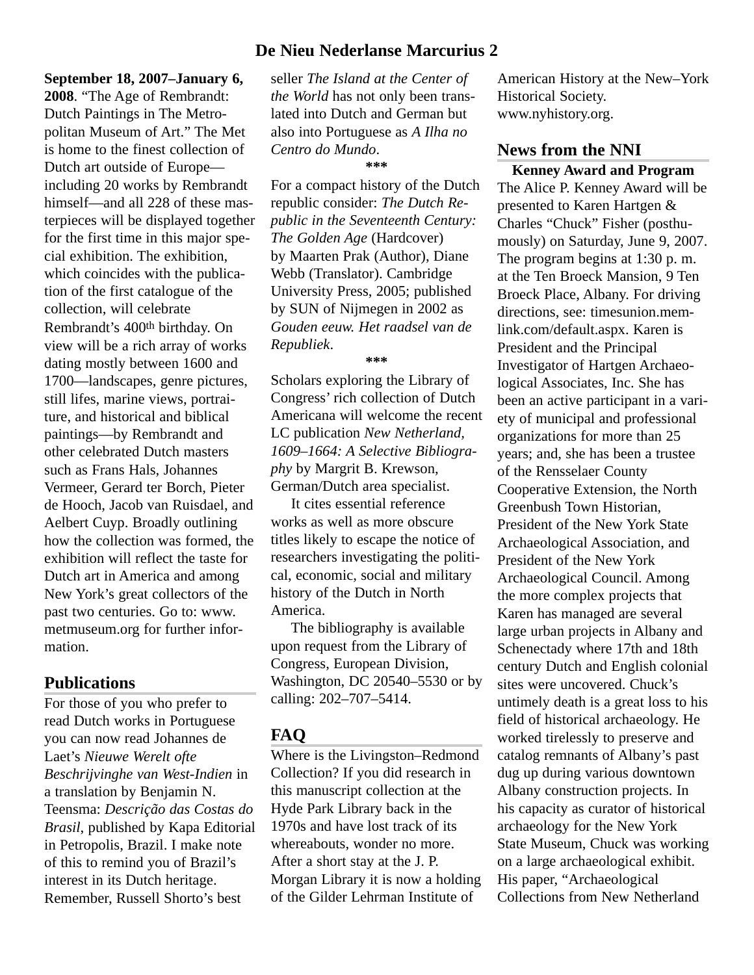# **De Nieu Nederlanse Marcurius 2**

#### **September 18, 2007–January 6,**

**2008**. "The Age of Rembrandt: Dutch Paintings in The Metropolitan Museum of Art." The Met is home to the finest collection of Dutch art outside of Europe including 20 works by Rembrandt himself—and all 228 of these masterpieces will be displayed together for the first time in this major special exhibition. The exhibition, which coincides with the publication of the first catalogue of the collection, will celebrate Rembrandt's 400th birthday. On view will be a rich array of works dating mostly between 1600 and 1700—landscapes, genre pictures, still lifes, marine views, portraiture, and historical and biblical paintings—by Rembrandt and other celebrated Dutch masters such as Frans Hals, Johannes Vermeer, Gerard ter Borch, Pieter de Hooch, Jacob van Ruisdael, and Aelbert Cuyp. Broadly outlining how the collection was formed, the exhibition will reflect the taste for Dutch art in America and among New York's great collectors of the past two centuries. Go to: www. metmuseum.org for further information.

## **Publications**

For those of you who prefer to read Dutch works in Portuguese you can now read Johannes de Laet's *Nieuwe Werelt ofte Beschrijvinghe van West-Indien* in a translation by Benjamin N. Teensma: *Descrição das Costas do Brasil*, published by Kapa Editorial in Petropolis, Brazil. I make note of this to remind you of Brazil's interest in its Dutch heritage. Remember, Russell Shorto's best

seller *The Island at the Center of the World* has not only been translated into Dutch and German but also into Portuguese as *A Ilha no Centro do Mundo*. **\*\*\***

For a compact history of the Dutch republic consider: *The Dutch Republic in the Seventeenth Century: The Golden Age* (Hardcover) by Maarten Prak (Author), Diane Webb (Translator). Cambridge University Press, 2005; published by SUN of Nijmegen in 2002 as *Gouden eeuw. Het raadsel van de Republiek*.

#### **\*\*\***

Scholars exploring the Library of Congress' rich collection of Dutch Americana will welcome the recent LC publication *New Netherland, 1609–1664: A Selective Bibliography* by Margrit B. Krewson, German/Dutch area specialist.

It cites essential reference works as well as more obscure titles likely to escape the notice of researchers investigating the political, economic, social and military history of the Dutch in North America.

The bibliography is available upon request from the Library of Congress, European Division, Washington, DC 20540–5530 or by calling: 202–707–5414.

## **FAQ**

Where is the Livingston–Redmond Collection? If you did research in this manuscript collection at the Hyde Park Library back in the 1970s and have lost track of its whereabouts, wonder no more. After a short stay at the J. P. Morgan Library it is now a holding of the Gilder Lehrman Institute of

American History at the New–York Historical Society. www.nyhistory.org.

# **News from the NNI**

**Kenney Award and Program** The Alice P. Kenney Award will be presented to Karen Hartgen & Charles "Chuck" Fisher (posthumously) on Saturday, June 9, 2007. The program begins at 1:30 p. m. at the Ten Broeck Mansion, 9 Ten Broeck Place, Albany. For driving directions, see: timesunion.memlink.com/default.aspx. Karen is President and the Principal Investigator of Hartgen Archaeological Associates, Inc. She has been an active participant in a variety of municipal and professional organizations for more than 25 years; and, she has been a trustee of the Rensselaer County Cooperative Extension, the North Greenbush Town Historian, President of the New York State Archaeological Association, and President of the New York Archaeological Council. Among the more complex projects that Karen has managed are several large urban projects in Albany and Schenectady where 17th and 18th century Dutch and English colonial sites were uncovered. Chuck's untimely death is a great loss to his field of historical archaeology. He worked tirelessly to preserve and catalog remnants of Albany's past dug up during various downtown Albany construction projects. In his capacity as curator of historical archaeology for the New York State Museum, Chuck was working on a large archaeological exhibit. His paper, "Archaeological Collections from New Netherland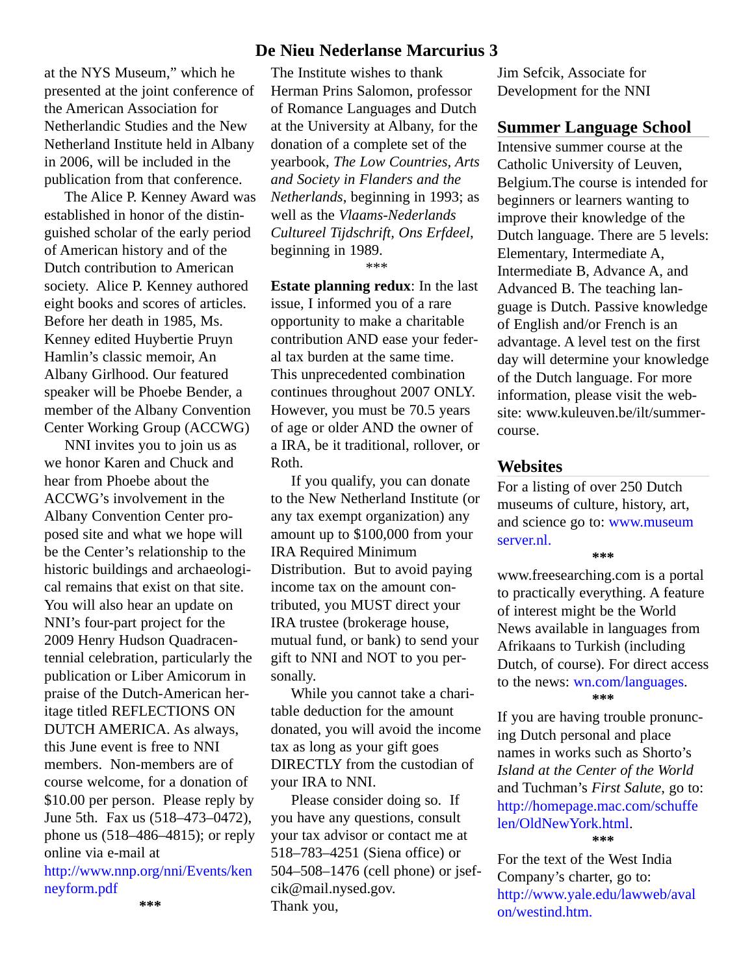at the NYS Museum," which he presented at the joint conference of the American Association for Netherlandic Studies and the New Netherland Institute held in Albany in 2006, will be included in the publication from that conference.

The Alice P. Kenney Award was established in honor of the distinguished scholar of the early period of American history and of the Dutch contribution to American society. Alice P. Kenney authored eight books and scores of articles. Before her death in 1985, Ms. Kenney edited Huybertie Pruyn Hamlin's classic memoir, An Albany Girlhood. Our featured speaker will be Phoebe Bender, a member of the Albany Convention Center Working Group (ACCWG)

NNI invites you to join us as we honor Karen and Chuck and hear from Phoebe about the ACCWG's involvement in the Albany Convention Center proposed site and what we hope will be the Center's relationship to the historic buildings and archaeological remains that exist on that site. You will also hear an update on NNI's four-part project for the 2009 Henry Hudson Quadracentennial celebration, particularly the publication or Liber Amicorum in praise of the Dutch-American heritage titled REFLECTIONS ON DUTCH AMERICA. As always, this June event is free to NNI members. Non-members are of course welcome, for a donation of \$10.00 per person. Please reply by June 5th. Fax us (518–473–0472), phone us (518–486–4815); or reply online via e-mail at [http://www.nnp.org/nni/Events/ken](http://www.nnp.org/nni/Events/kenneyform.pdf) neyform.pdf

# **De Nieu Nederlanse Marcurius 3**

The Institute wishes to thank Herman Prins Salomon, professor of Romance Languages and Dutch at the University at Albany, for the donation of a complete set of the yearbook, *The Low Countries, Arts and Society in Flanders and the Netherlands*, beginning in 1993; as well as the *Vlaams-Nederlands Cultureel Tijdschrift, Ons Erfdeel*, beginning in 1989.

\*\*\*

**Estate planning redux**: In the last issue, I informed you of a rare opportunity to make a charitable contribution AND ease your federal tax burden at the same time. This unprecedented combination continues throughout 2007 ONLY. However, you must be 70.5 years of age or older AND the owner of a IRA, be it traditional, rollover, or Roth.

If you qualify, you can donate to the New Netherland Institute (or any tax exempt organization) any amount up to \$100,000 from your IRA Required Minimum Distribution. But to avoid paying income tax on the amount contributed, you MUST direct your IRA trustee (brokerage house, mutual fund, or bank) to send your gift to NNI and NOT to you personally.

While you cannot take a charitable deduction for the amount donated, you will avoid the income tax as long as your gift goes DIRECTLY from the custodian of your IRA to NNI.

Please consider doing so. If you have any questions, consult your tax advisor or contact me at 518–783–4251 (Siena office) or 504–508–1476 (cell phone) or jsefcik@mail.nysed.gov. Thank you,

Jim Sefcik, Associate for Development for the NNI

### **Summer Language School**

Intensive summer course at the Catholic University of Leuven, Belgium.The course is intended for beginners or learners wanting to improve their knowledge of the Dutch language. There are 5 levels: Elementary, Intermediate A, Intermediate B, Advance A, and Advanced B. The teaching language is Dutch. Passive knowledge of English and/or French is an advantage. A level test on the first day will determine your knowledge of the Dutch language. For more information, please visit the website: www.kuleuven.be/ilt/summercourse.

# **Websites**

For a listing of over 250 Dutch museums of culture, history, art, [and science go to: www.museum](http://www.museumserver.nl) server.nl.

**\*\*\***

www.freesearching.com is a portal to practically everything. A feature of interest might be the World News available in languages from Afrikaans to Turkish (including Dutch, of course). For direct access to the news: [wn.com/languages.](http://wn.com/languages) **\*\*\***

If you are having trouble pronuncing Dutch personal and place names in works such as Shorto's *Island at the Center of the World* and Tuchman's *First Salute*, go to: [http://homepage.mac.com/schuffe](http://homepage.mac.com/schuffelen/OldNewYork.html) len/OldNewYork.html. **\*\*\***

For the text of the West India Company's charter, go to: [http://www.yale.edu/lawweb/aval](http://www.yale.edu/lawweb/avalon/westind.htm) on/westind.htm.